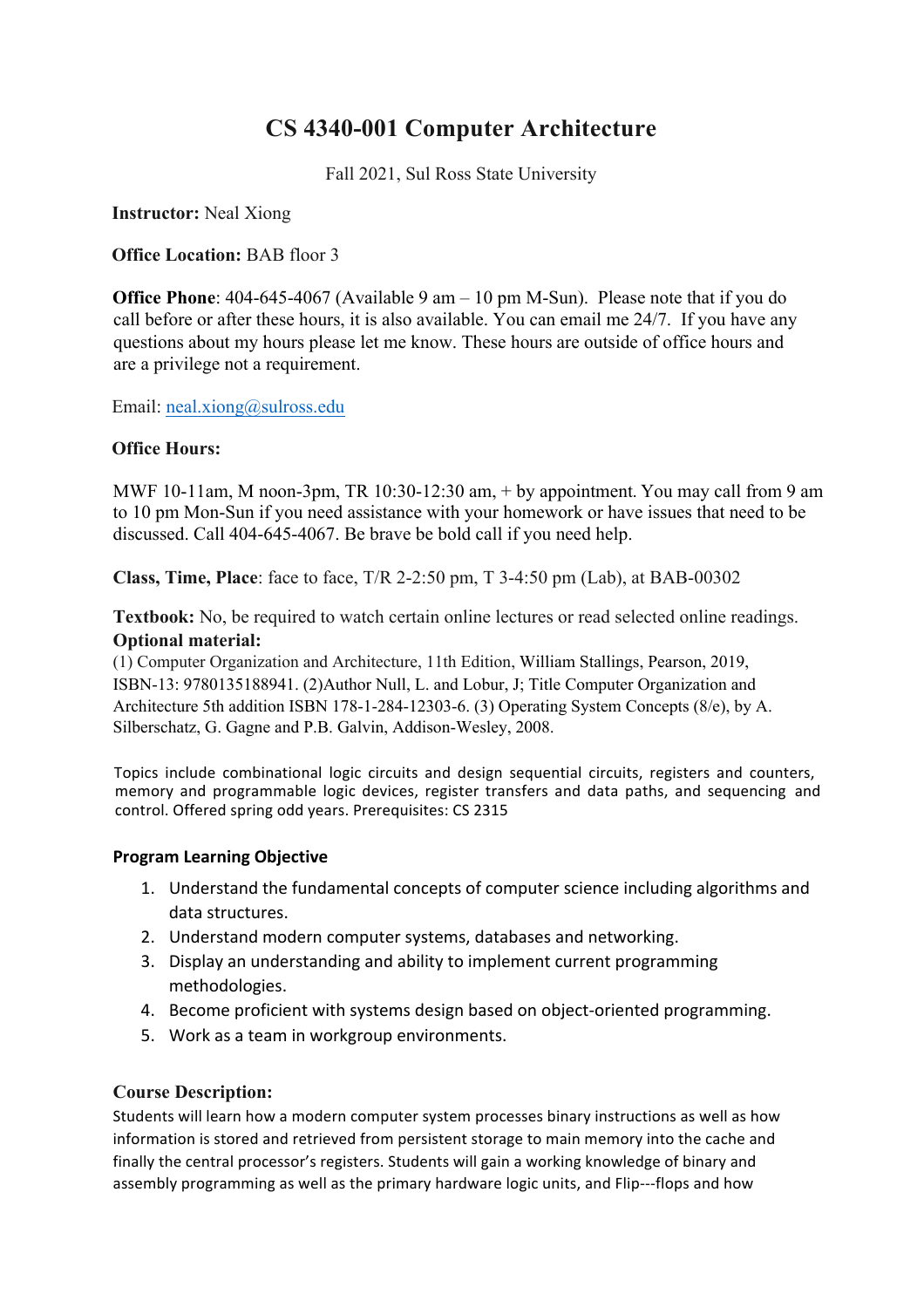# **CS 4340-001 Computer Architecture**

Fall 2021, Sul Ross State University

**Instructor:** Neal Xiong

**Office Location:** BAB floor 3

**Office Phone**: 404-645-4067 (Available 9 am – 10 pm M-Sun). Please note that if you do call before or after these hours, it is also available. You can email me 24/7. If you have any questions about my hours please let me know. These hours are outside of office hours and are a privilege not a requirement.

Email: neal.xiong@sulross.edu

#### **Office Hours:**

MWF 10-11am, M noon-3pm, TR 10:30-12:30 am, + by appointment. You may call from 9 am to 10 pm Mon-Sun if you need assistance with your homework or have issues that need to be discussed. Call 404-645-4067. Be brave be bold call if you need help.

**Class, Time, Place**: face to face, T/R 2-2:50 pm, T 3-4:50 pm (Lab), at BAB-00302

**Textbook:** No, be required to watch certain online lectures or read selected online readings. **Optional material:**

(1) Computer Organization and Architecture, 11th Edition, William Stallings, Pearson, 2019, ISBN-13: 9780135188941. (2)Author Null, L. and Lobur, J; Title Computer Organization and Architecture 5th addition ISBN 178-1-284-12303-6. (3) Operating System Concepts (8/e), by A. Silberschatz, G. Gagne and P.B. Galvin, Addison-Wesley, 2008.

Topics include combinational logic circuits and design sequential circuits, registers and counters, memory and programmable logic devices, register transfers and data paths, and sequencing and control. Offered spring odd years. Prerequisites: CS 2315

#### **Program Learning Objective**

- 1. Understand the fundamental concepts of computer science including algorithms and data structures.
- 2. Understand modern computer systems, databases and networking.
- 3. Display an understanding and ability to implement current programming methodologies.
- 4. Become proficient with systems design based on object-oriented programming.
- 5. Work as a team in workgroup environments.

#### **Course Description:**

Students will learn how a modern computer system processes binary instructions as well as how information is stored and retrieved from persistent storage to main memory into the cache and finally the central processor's registers. Students will gain a working knowledge of binary and assembly programming as well as the primary hardware logic units, and Flip---flops and how